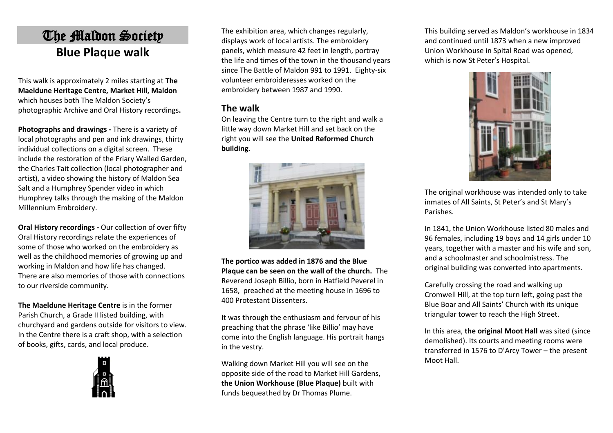## The Maldon Society **Blue Plaque walk**

This walk is approximately 2 miles starting at **The Maeldune Heritage Centre, Market Hill, Maldon** which houses both The Maldon Society's photographic Archive and Oral History recordings**.**

**Photographs and drawings -** There is a variety of local photographs and pen and ink drawings, thirty individual collections on a digital screen. These include the restoration of the Friary Walled Garden, the Charles Tait collection (local photographer and artist), a video showing the history of Maldon Sea Salt and a Humphrey Spender video in which Humphrey talks through the making of the Maldon Millennium Embroidery.

**Oral History recordings -** Our collection of over fifty Oral History recordings relate the experiences of some of those who worked on the embroidery as well as the childhood memories of growing up and working in Maldon and how life has changed. There are also memories of those with connections to our riverside community.

**The Maeldune Heritage Centre** is in the former Parish Church, a Grade II listed building, with churchyard and gardens outside for visitors to view. In the Centre there is a craft shop, with a selection of books, gifts, cards, and local produce.



The exhibition area, which changes regularly, displays work of local artists. The embroidery panels, which measure 42 feet in length, portray the life and times of the town in the thousand years since The Battle of Maldon 991 to 1991. Eighty-six volunteer embroideresses worked on the embroidery between 1987 and 1990.

## **The walk**

On leaving the Centre turn to the right and walk a little way down Market Hill and set back on the right you will see the **United Reformed Church building.** 



**The portico was added in 1876 and the Blue Plaque can be seen on the wall of the church.** The Reverend Joseph Billio, born in Hatfield Peverel in 1658, preached at the meeting house in 1696 to 400 Protestant Dissenters.

It was through the enthusiasm and fervour of his preaching that the phrase 'like Billio' may have come into the English language. His portrait hangs in the vestry.

Walking down Market Hill you will see on the opposite side of the road to Market Hill Gardens, **the Union Workhouse (Blue Plaque)** built with funds bequeathed by Dr Thomas Plume.

This building served as Maldon's workhouse in 1834 and continued until 1873 when a new improved Union Workhouse in Spital Road was opened, which is now St Peter's Hospital.



The original workhouse was intended only to take inmates of All Saints, St Peter's and St Mary's Parishes.

In 1841, the Union Workhouse listed 80 males and 96 females, including 19 boys and 14 girls under 10 years, together with a master and his wife and son, and a schoolmaster and schoolmistress. The original building was converted into apartments.

Carefully crossing the road and walking up Cromwell Hill, at the top turn left, going past the Blue Boar and All Saints' Church with its unique triangular tower to reach the High Street.

In this area, **the original Moot Hall** was sited (since demolished). Its courts and meeting rooms were transferred in 1576 to D'Arcy Tower – the present Moot Hall.